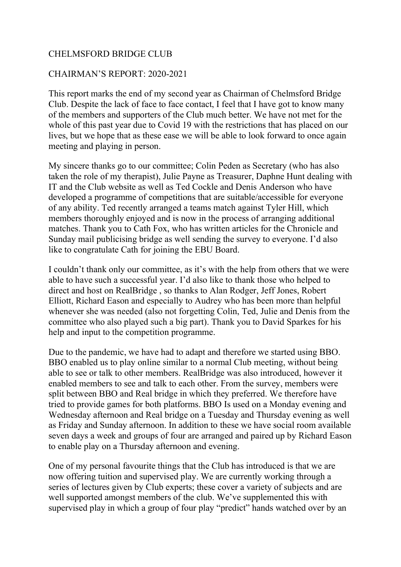## CHELMSFORD BRIDGE CLUB

## CHAIRMAN'S REPORT: 2020-2021

This report marks the end of my second year as Chairman of Chelmsford Bridge Club. Despite the lack of face to face contact, I feel that I have got to know many of the members and supporters of the Club much better. We have not met for the whole of this past year due to Covid 19 with the restrictions that has placed on our lives, but we hope that as these ease we will be able to look forward to once again meeting and playing in person.

My sincere thanks go to our committee; Colin Peden as Secretary (who has also taken the role of my therapist), Julie Payne as Treasurer, Daphne Hunt dealing with IT and the Club website as well as Ted Cockle and Denis Anderson who have developed a programme of competitions that are suitable/accessible for everyone of any ability. Ted recently arranged a teams match against Tyler Hill, which members thoroughly enjoyed and is now in the process of arranging additional matches. Thank you to Cath Fox, who has written articles for the Chronicle and Sunday mail publicising bridge as well sending the survey to everyone. I'd also like to congratulate Cath for joining the EBU Board.

I couldn't thank only our committee, as it's with the help from others that we were able to have such a successful year. I'd also like to thank those who helped to direct and host on RealBridge , so thanks to Alan Rodger, Jeff Jones, Robert Elliott, Richard Eason and especially to Audrey who has been more than helpful whenever she was needed (also not forgetting Colin, Ted, Julie and Denis from the committee who also played such a big part). Thank you to David Sparkes for his help and input to the competition programme.

Due to the pandemic, we have had to adapt and therefore we started using BBO. BBO enabled us to play online similar to a normal Club meeting, without being able to see or talk to other members. RealBridge was also introduced, however it enabled members to see and talk to each other. From the survey, members were split between BBO and Real bridge in which they preferred. We therefore have tried to provide games for both platforms. BBO Is used on a Monday evening and Wednesday afternoon and Real bridge on a Tuesday and Thursday evening as well as Friday and Sunday afternoon. In addition to these we have social room available seven days a week and groups of four are arranged and paired up by Richard Eason to enable play on a Thursday afternoon and evening.

One of my personal favourite things that the Club has introduced is that we are now offering tuition and supervised play. We are currently working through a series of lectures given by Club experts; these cover a variety of subjects and are well supported amongst members of the club. We've supplemented this with supervised play in which a group of four play "predict" hands watched over by an